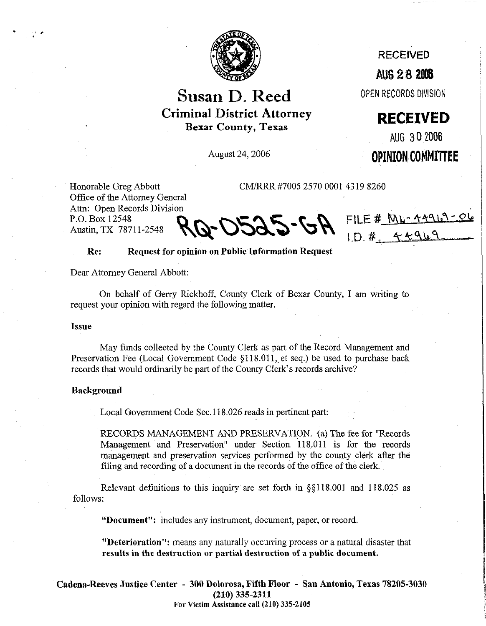

# Susan D. Reed **Criminal District Attorney**  Bexar County, Texas

August 24,2006

RECEIVED

**AUG 28 2006** 

OPEN RECORDS DIVISION

**RECEIVED** 

AUG **3 0~2006** 

OPINION COMMITTEE

FILE # ML-44919-06

 $ID.$ #

Honorable Greg Abbott CM/RRR #7005 2570 0001 4319 8260 Office of the Attorney General Attn: Open Records Division P.O. Box 12548 Austin, TX 78711-2548

**Re: Request for opinion on Public,Information Request** 

Dear Attorney General Abbott:

On behalf of Gerry Rickhoff, County Clerk of Bexar County, I am writing to request your opinion with regard the following matter.

#### **Issue**

.

,

May funds collected by the County Clerk as part of the Record Management and Preservation Fee (Local Government Code  $\S118.011$ , et seq.) be used to purchase back records that would ordinarily be part of the County Clerk's records archive?

#### **Background**

Local Government Code Sec. 118.026 reads in pertinent part:

RECORDS MANAGEMENT AND PRESERVATIGN. (a) The fee for "Records Management and Preservation" under Section 118.011 is for the records management and preservation services performed by the county clerk after the filing and recording of a document in the records of the office of the clerk.

Relevant definitions to this inquiry are set forth in §§llS.OOl and 118.025 as follows:

**"Document":** includes any instrument, document, paper, or record.

**"Deterioration":** means any naturally occurring process or a natural disaster that **results in the destruction or partial destruction of a public document.** 

**Cadena-Reeves Justice Center - 300 Dolorosa, Fifth Ffoor - San Antonio, Texas 78205-3030 (210) 335-2311 For Victim Assistance call (210) 335-2105**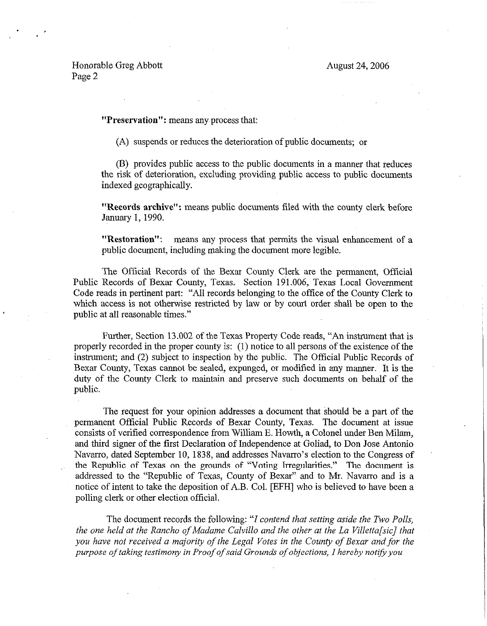## Honorable Greg Abbott Page 2

**"Preservation": means any** process that:

(A) suspends or reduces the deterioration of public documents; or

(E%) provides public access to the public documents in a manner that reduces the risk of deterioration, excluding providing public access to public documents indexed geographically.

**"Records archive":** means public documents filed with the county clerk before January 1,199O.

**"Restoration":** means any process that permits the visual enhancement of a public document, including making the document more legible.

The Official Records of the Bexar County Clerk are the permanent, Official Public Records of Bexar County, Texas. Section 191.006, Texas Local Government Code reads in pertinent part: "All records belonging to the office of the County Clerk to which access is not otherwise restricted by law or by court order shall be open to the public at all reasonable times."

Further, Section 13.002 of the Texas Property Code reads, "An instrument that is properly recorded in the proper county is: (1) notice to all persons of the existence of the instrument; and (2) subject to inspection by the public. The Official Public Records of Bexar County, Texas cannot be sealed, expunged, or modified in any manner. It is the duty of the County Clerk to maintain and preserve such documents on behalf of the public.

The request for your opinion addresses a document that should be *a* part of the permanent Official Public Records of Bexar County, Texas. The document at issue consists of verified correspondence from William E. Howth, a Colonel under Ben Milarn, and third signer of the first Declaration of Independence at Goliad, to Don Jose Antonio Navarro, dated September 10, 1838, and addresses Navarro's election to the Congress of the Republic of Texas on the grounds of "Voting Irregularities." The document is addressed to the "Republic of Texas, County of Bexar" and to Mr. Navarro and is a notice of intent to take the deposition of A.B. Col. [EFH] who is believed to have been a polling clerk or other election official.

The document records the following: *"I contend that setting aside the Two Polls, the one held at the Ranch0 of Madame Calvillo and the other at the La Villetta[sic] that you have not received a majority of the Legal Votes in the County of Bexar and for the*  purpose of taking testimony in Proof of said Grounds of objections, I hereby notify you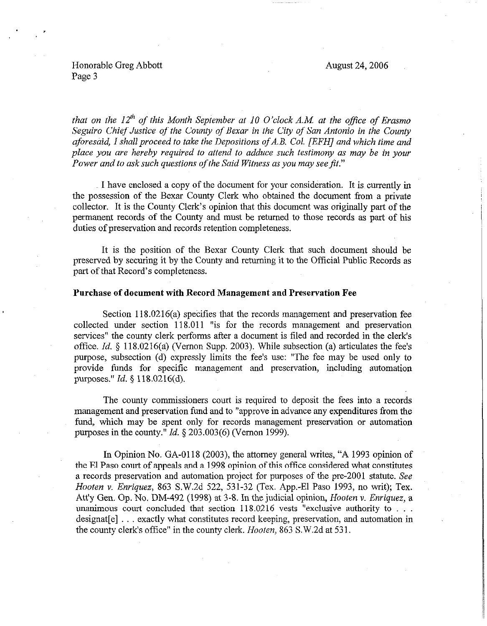August 24,2006

### Honorable Greg Abbott Page 3

. \*

*that on the*  $12<sup>th</sup>$  *of this Month September at 10 O'clock A.M. at the office of Erasmo Seguiro Chief Justice of the County of Bexar in the City of San Antonio in the County aforesaid, I shall proceed to take the Depositions of A.B. Col. [EFH] and which time and place you are hereby required to attend to adduce such testimony as may be in your Power and to ask such questions of the Said Witness as you may see fit."* 

I have enclosed a copy of the document for your consideration. It is currently in the possession of the Bexar County Clerk who obtained the document from a private collector. It is the County Clerk's opinion that this document was originally part of the permanent records of the County and must be returned to those records as part of his duties of preservation and records retention completeness.

It is the position of the Bexar County Clerk that such document should be preserved by securing it by the County and returning it to the Official Public Records as part of that Record's completeness.

#### **Purchase of document with Record Management and Preservation Fee**

Section 118.0216(a) specifies that the records management and preservation fee collected under section 118.011 "is for the records management and preservation services" the county clerk performs after a document is filed and recorded in the clerk's office. *Id.* § 118.0216(a) (Vernon Supp. 2003). While subsection (a) articulates the fee's purpose, subsection (d) expressly limits the fee's use: "The fee may be used only to provide funds for specific management and preservation, including automation purposes." *Id.* 5 118.0216(d).

The county commissioners court is required to deposit the fees into a records management and preservation fund and to "approve in advance any expenditures from the fund, which may be spent only for records management preservation or automation purposes in the county." *Id. 5 203.003(6)* (Vernon 1999).

In Opinion No. GA-0118 (2003), the attorney general writes, "A 1993 opinion of the El Paso court of appeals and a 1998 opinion of this office considered what constitutes a records preservation and automation project for purposes of the pre-2001 statute. See *Hooten v. Enriquez,* 863 S.W.2d 522, 531-32 (Tex. App.-El Paso 1993, no writ); Tex. Att'y Gen. Op. No. DM-492 (1998) at 3-8. In the judicial opinion, Hooten Y. *Enriquez, a*  unanimous court concluded that section  $118.0216$  vests "exclusive authority to ... designat[e]  $\ldots$  exactly what constitutes record keeping, preservation, and automation in the county clerk's office" in the county clerk. *Hooten*, 863 S.W.2d at 531.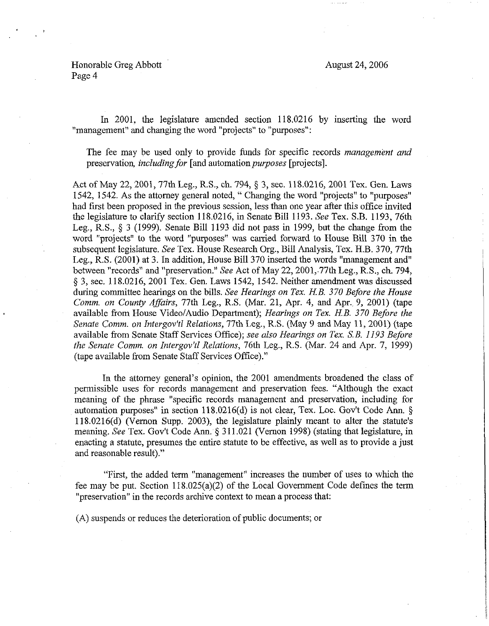Honorable Greg Abbott Page 4

August 24,2006

In 2001, the legislature amended section 118.0216 by inserting the word "management" and changing the word "projects" to "purposes":

The fee may be used only to provide funds for specific records *management and*  preservation, *including for* [and automation *purposes* [projects].

Act of May 22, 2001, 77th Leg., R.S., ch. 794, § 3, sec. 118.0216, 2001 Tex. Gen. Laws 1542, 1542. As the attorney general noted, " Changing the word "projects" to "purposes" had first been proposed in the previous session, less than one year after this office invited the legislature to clarify section 118.0216, in Senate Bill 1193. See Tex. S.B. 1193, 76th Leg., R.S.,  $\S$  3 (1999). Senate Bill 1193 did not pass in 1999, but the change from the word "projects" to the word "purposes" was carried forward to House Bill 370 in the subsequent legislature. See Tex. House Research Org., Bill Analysis, Tex. H.B. 370,77th Leg., R.S. (2001) at 3. In addition, House Bill 370 inserted the words "management and" between "records" and "preservation." See Act of May 22, 2001, 77th Leg., R.S., ch. 794, 5 3, sec. 118.0216, 2001 Tex. Gen. Laws 1542, 1542. Neither amendment was discussed during committee hearings on *the* bills. *See Hearings on Tex. HB. 370 Before the House Comm. on County Affairs,* 77th Leg., R.S. (Mar. 21, Apr. 4, and Apr., 9, 2001) (tape available from House Video/Audio Department); *Hearings on Tex. HB. 370 Before the*  Senate Comm. on Intergov'tl Relations, 77th Leg., R.S. (May 9 and May 11, 2001) (tape available from Senate Staff Services Office); *see also Hearings on Tex. SB. 1193 Before the Senate Comm. on Intergov'tl Relations,* 76th Leg., R.S. (Mar. 24 and Apr. 7, 1999) (tape available from Senate Staff Services Office)."

In the attorney general's opinion, the 2001 amendments broadened the class of permissible uses for records management and preservation fees. "Although the exact meaning of the phrase "specific records management and preservation, including for automation purposes" in section  $118.0216(d)$  is not clear, Tex. Loc. Gov't Code Ann. § 118.0216(d) (Vernon Supp. 2003), the legislature plainly meant to alter the statute's meaning. See Tex. Gov't Code Ann. § 311.021 (Vernon 1998) (stating that legislature, in enacting a statute, presumes the entire statute to be effective, as well as to provide a just and reasonable result)."

"First, the added term "management" increases the number of uses to which the fee may be put. Section 118,025(a)(2) of the Local Government Code defines the term "preservation" in the records archive context to mean a process that:

(A) suspends or reduces the deterioration of public documents; or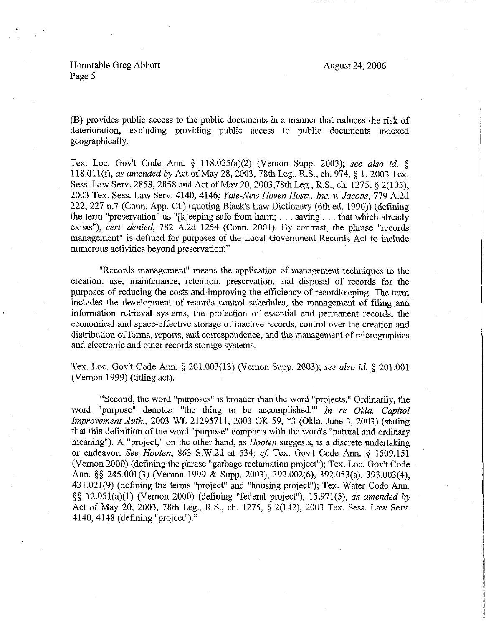August 24,2006

Honorable Greg Abbott Page 5

 $\mathbf{r}$  ,  $\mathbf{r}$ 

(B) provides public access to the public documents in a manner that reduces the risk of deterioration, excluding providing public access to public documents indexed geographically.

Tex. Loc. Gov't Code Ann. § 118.025(a)(2) (Vernon Supp. 2003); see also *id.* § 118.011(f), as amended by Act of May 28, 2003, 78th Leg., R.S., ch. 974, § 1, 2003 Tex. Sess. Law Serv. 2858,2858 and Act of May 20,2003,78th Leg., R.S., ch. 1275, § 2(105), *2003* Tex. *Sess.* Law Serv. 4140,4146; Yale-New *Haven Hosp., Inc. v. Jacobs, 779* A.2d 222,227 n.7 (Conn. App. Ct.) (quoting Black's Law Dictionary (6th ed. 1990)) (defining the term "preservation" as "[k]eeping safe from harm;  $\dots$  saving  $\dots$  that which already exists"), *cert. denied*, 782 A.2d 1254 (Conn. 2001). By contrast, the phrase "records management" is defmed for purposes of the Local Government Records Act to include numerous activities beyond preservation:"

"Records management" means the application of management techniques to the creation, use, maintenance, retention, preservation, and disposal of records for the purposes of reducing the costs and improving the efficiency of recordkeeping. The term includes the development of records control schedules, the management of filing and information retrieval systems, the protection of essential and pennanent records, the economical and space-effective storage of inactive records, control over the creation and distribution of forms, reports, and correspondence, and the management of micrographics and electronic and other records storage systems.

Tex. Loc. Gov't Code Ann. § 201.003(13) (Vernon Supp. 2003); see also id. § 201.001 (Vernon 1999) (titling act).

"Second, the word "purposes" is broader than the word "projects." Ordinarily, the word "purpose" denotes "'the thing to be accomplished."' *In re Okla. Capitol Improvement Auth.,* 2003 WL 21295711, 2003 OK 59, \*3 (Okla. June 3, 2003) (stating that this definition of the word "purpose" comports with the word's "natural and ordinary meaning"). A "project," on the other hand, *as Hooten* suggests, is a discrete undertaking or endeavor. See *Hooten*, 863 S.W.2d at 534; cf. Tex. Gov't Code Ann. § 1509.151 (Vernon 2000) (defining the phrase "garbage reclamation project"); Tex. Loc. Gov't Code Amt. \$5 245.001(3) (Vernon 1999 & Supp. 2003), 392.002(6), 392.053(a), 393.003(4), 431.021(g) (defining the terms "project" and "housing project"); Tex. Water Code Ann. \$5 12.051(a)(l) (Vernon 2000) (defining "federal project"), 15.971(5), *as amended by*  Act of May 20, 2003, 78th Leg., R.S., ch. 1275, 5 2(142), 2003 Tex. Sess. Law Serv. 4140, 4148 (defining "project")."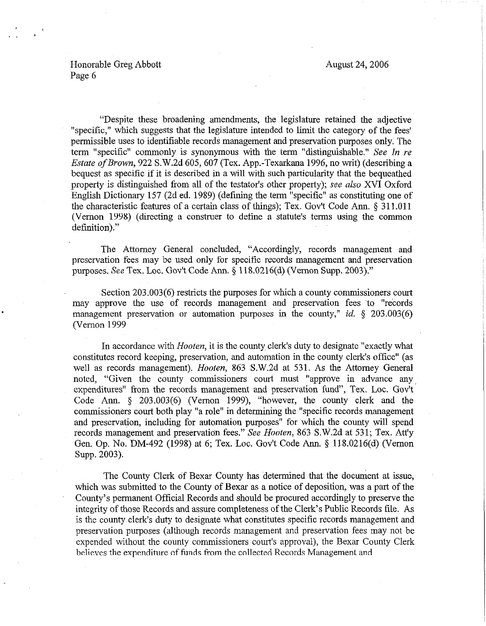## Honorable Greg Abbott Page 6

"Despite these broadening amendments, the legislature retained the adjective "specific," which suggests that the legislature intended to limit the category of the fees' permissible uses to identifiable records management and preservation purposes only. The term "specific" commonly is synonymous with the term "distinguishable." See *In re Estate of Brown, 922 S.W.2d 605, 607 (Tex. App.-Texarkana 1996, no writ) (describing a* bequest as specific if it is described in a will with such particularity that the bequeathed property is distinguished from all of the testator's other property); see *also* XVI Oxford English Dictionary 157 (2d ed. 1989) (defining the term "specific" as constituting one of the characteristic features of a certain class of things); Tex. Gov't Code Ann. § 311.011 (Vernon 1998) (directing a construer to define a statute's terms using the common definition)."

The Attorney General concluded, "Accordingly, records management and preservation fees may be used only for specific records management and preservation purposes. See Tex. Loc. Gov't Code Ann. § 118.0216(d) (Vernon Supp. 2003)."

Section 203.003(6) restricts the purposes for which a county commissioners court may approve the use of records management and preservation fees to "records" management preservation or automation purposes in the county," *id.*  $\frac{203.003(6)}{203.003(6)}$ (Vernon 1999

In accordance with *Hooten*, it is the county clerk's duty to designate "exactly what constitutes record keeping, preservation, and automation in the county clerk's office" (as well as records management). *Hooten,* 863 S.W.2d at 531. As the Attorney General noted, "Given the county commissioners court must "approve in advance any expenditures" from the records management and preservation fund", Tex. Loc. Gov't Code Ann. § 203.003(6) (Vernon 1999), "however, the county clerk and the commissioners court both play "a role" in determining the "specific records management and preservation, including for automation purposes" for which the county will spend records management and preservation fees." See *Hooten, 863* S.W.2d at 531; Tex. Att'y Gen. Op. No. DM-492 (1998) at 6; Tex. Loc. Gov't Code Ann. § 118.0216(d) (Vernon Supp. 2003).

The County Clerk of Bexar County has determined that the document at issue, which was submitted to the County of Bexar as a notice of deposition, was a part of the County's permanent Official Records and should he procured accordingly to preserve the integrity of those Records and assure completeness of the Clerk's Public Records tile. As is the county clerk's duty to designate what constitutes specific records management and preservation purposes (although records management and preservation fees may not be expended without the county commissioners court's approval), the Bexar County Clerk believes the expenditure of funds from the collected Records Management and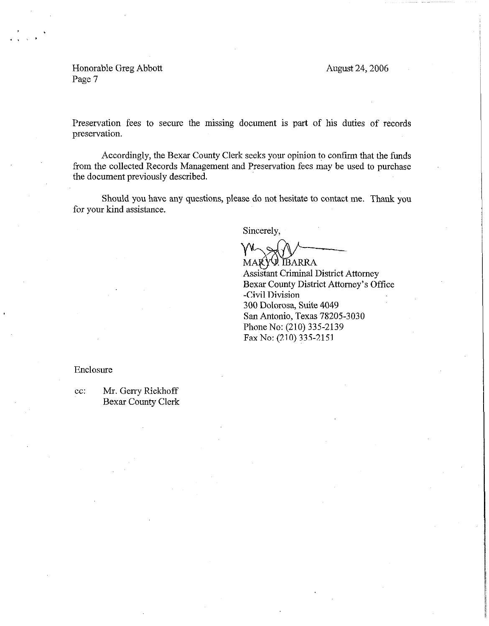August 24,2006

Honorable Greg Abbott Page 7

Preservation fees to secure the missing document is part of his duties of records preservation.

Accordingly, the Bexar County Clerk seeks your opinion to confirm that the funds from the collected Records Management and Preservation fees may be used to purchase the document previously described.

Should you have any questions, piease do not hesitate to contact me. Thank you for your kind assistance.

Sincerely,

 $\mathcal{W}\smallsetminus\mathcal{P}$ MARY BARRA

Assistant Criminal District Attorney Bexar County District Attorney's Office -Civil Division 300 Dolorosa, Suite 4049 San Antonio, Texas 78205-3030 Phone No: (210) 335-2139 FaxNo: (210) 335-2151

Enclosure

cc: Mr. Gerry Rickhoff Bexar County Clerk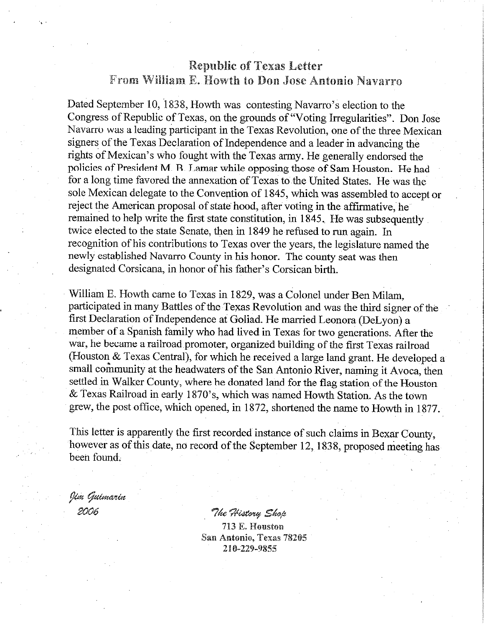## Republic of Texas Letter From William E. Howth to Don Jose Antonio Navarro

Dated September 10, 1838, Howth was contesting Navarro's election to the Congress of Republic of Texas, on the grourids of "Voting Irregularities". Don Jose Navarro was a leading participant in the Texas Revolution, one of the three Mexican signers of the Texas Declaration of Independence and a leader in advancing the rights of Mexican's who fought with the Texas army. He generally endorsed the policies of President M. B. Lamar while opposing those of Sam Houston. He had for a long time favored the annexation of Texas to the United States. He was the sole Mexican delegate to the Convention of 1845, which was assembled to accept or reject the American proposal of state hood, after voting in the affirmative, he remained to help write the first state constitution, in 1845 . He was subsequently twice elected to the state Senate, then in 1849 he refused to run again. In recognition of his contributions to Texas over the years, the legislature named the newly established Navarro County in his honor. The county seat was then designated Corsicana, in honor of his father's Corsican birth.

William E. Howth came to Texas in 1829, was a Colonel under Ben Milam, participated in many Battles of the Texas Revolution and was the third signer of the first Declaration of Independence at Goliad. He married Leonora (DeLyon) a member of a Spanish family who had lived in Texas for two generations. After the war, he became a railroad promoter, organized building of the first Texas railroad (Houston & Texas Central), for which he received a large land grant. He developed a small community at the headwaters of the San Antonio River, naming it Avoca, then settled in Walker County, where he donated land for the flag station of the Houston & Texas Railroad in early 1870's, which was named Howth Station. As the town grew, the post office, which opened, in 1872, shortened the name to Howth in 1877.

This letter is apparently the first recorded instance of such claims in Bexar County, however as of this date, no record of the September 12, 1838, proposed meeting has been found.

Jim Guimarin 2006

"The History Shop 713 E. Houston San Antonio, Texas 78205 210-229-9855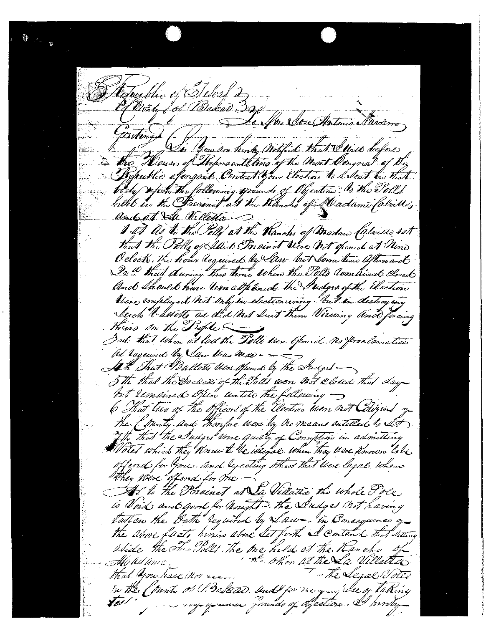afustic of Welcas 2 Hermy for Bekan 320 La More Sose Antonio Maramo Ensting Vi You an hinty with to that I will before The House of Representations of the Next Congres of the Republic afensaid Contest your Election to Seat in That bought upon the following grounds of Objection to the Tolls billet in the Precinct at the Klinch of fladame fabrillo; and at the Villetto o I It As to the Poll at the Wanchs of Madam Calvillo 4st that the Poll of Isid Preinct Viere not opened at Mine O clock, the hour lequired by law but low time lifemand Du ! Hat during this time When the Polls Combined Closed And Should have lean althand the Sudges of the Election Abere employed not only in election using but in destroy in Juck Vallets as did not Suit them Viewing and forcing thuis on the Reple -But that when at last the Polls were Gened. No froclamation ad required by Law time mas -At That Ballots Were Ofund by the Judget 5th that the Doctors of the Polls were not closed that day but lemained Often untile the following -6 That two of the Officers of the Election were not Citizens of the of party and thousand were by no means entitled to Set The this the Sudges three quiety of Comption in admitting offend for you. and execting others that there legal when they were offered for one At to the Preinet at La Villatta the whole Pole, is Void and good for hought. The Sudges not having tatten the Bath required by Law -. in Consequence of the above facts him also let forth I contend that setting uside the The Polls. The one hild at the Kaneho. the other at the La Villetter Madame that you have Mor ..... - The Segal Votes in the Country of Prostead. Und for the grouplose of taking Vest. noy quanna pounds of spection. At prodan